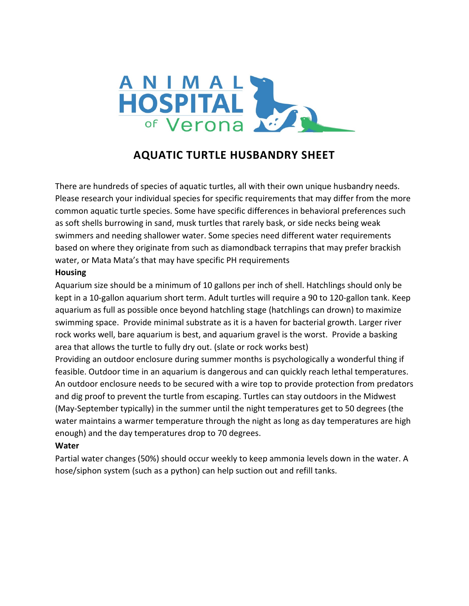

# **AQUATIC TURTLE HUSBANDRY SHEET**

There are hundreds of species of aquatic turtles, all with their own unique husbandry needs. Please research your individual species for specific requirements that may differ from the more common aquatic turtle species. Some have specific differences in behavioral preferences such as soft shells burrowing in sand, musk turtles that rarely bask, or side necks being weak swimmers and needing shallower water. Some species need different water requirements based on where they originate from such as diamondback terrapins that may prefer brackish water, or Mata Mata's that may have specific PH requirements

#### **Housing**

Aquarium size should be a minimum of 10 gallons per inch of shell. Hatchlings should only be kept in a 10-gallon aquarium short term. Adult turtles will require a 90 to 120-gallon tank. Keep aquarium as full as possible once beyond hatchling stage (hatchlings can drown) to maximize swimming space. Provide minimal substrate as it is a haven for bacterial growth. Larger river rock works well, bare aquarium is best, and aquarium gravel is the worst. Provide a basking area that allows the turtle to fully dry out. (slate or rock works best)

Providing an outdoor enclosure during summer months is psychologically a wonderful thing if feasible. Outdoor time in an aquarium is dangerous and can quickly reach lethal temperatures. An outdoor enclosure needs to be secured with a wire top to provide protection from predators and dig proof to prevent the turtle from escaping. Turtles can stay outdoors in the Midwest (May-September typically) in the summer until the night temperatures get to 50 degrees (the water maintains a warmer temperature through the night as long as day temperatures are high enough) and the day temperatures drop to 70 degrees.

#### **Water**

Partial water changes (50%) should occur weekly to keep ammonia levels down in the water. A hose/siphon system (such as a python) can help suction out and refill tanks.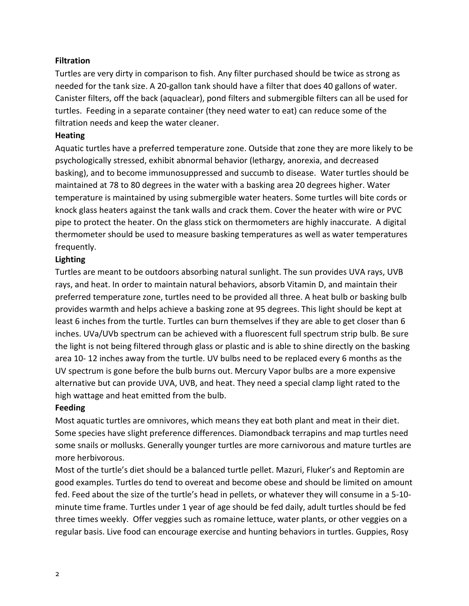### **Filtration**

Turtles are very dirty in comparison to fish. Any filter purchased should be twice as strong as needed for the tank size. A 20-gallon tank should have a filter that does 40 gallons of water. Canister filters, off the back (aquaclear), pond filters and submergible filters can all be used for turtles. Feeding in a separate container (they need water to eat) can reduce some of the filtration needs and keep the water cleaner.

#### **Heating**

Aquatic turtles have a preferred temperature zone. Outside that zone they are more likely to be psychologically stressed, exhibit abnormal behavior (lethargy, anorexia, and decreased basking), and to become immunosuppressed and succumb to disease. Water turtles should be maintained at 78 to 80 degrees in the water with a basking area 20 degrees higher. Water temperature is maintained by using submergible water heaters. Some turtles will bite cords or knock glass heaters against the tank walls and crack them. Cover the heater with wire or PVC pipe to protect the heater. On the glass stick on thermometers are highly inaccurate. A digital thermometer should be used to measure basking temperatures as well as water temperatures frequently.

## **Lighting**

Turtles are meant to be outdoors absorbing natural sunlight. The sun provides UVA rays, UVB rays, and heat. In order to maintain natural behaviors, absorb Vitamin D, and maintain their preferred temperature zone, turtles need to be provided all three. A heat bulb or basking bulb provides warmth and helps achieve a basking zone at 95 degrees. This light should be kept at least 6 inches from the turtle. Turtles can burn themselves if they are able to get closer than 6 inches. UVa/UVb spectrum can be achieved with a fluorescent full spectrum strip bulb. Be sure the light is not being filtered through glass or plastic and is able to shine directly on the basking area 10- 12 inches away from the turtle. UV bulbs need to be replaced every 6 months as the UV spectrum is gone before the bulb burns out. Mercury Vapor bulbs are a more expensive alternative but can provide UVA, UVB, and heat. They need a special clamp light rated to the high wattage and heat emitted from the bulb.

## **Feeding**

Most aquatic turtles are omnivores, which means they eat both plant and meat in their diet. Some species have slight preference differences. Diamondback terrapins and map turtles need some snails or mollusks. Generally younger turtles are more carnivorous and mature turtles are more herbivorous.

Most of the turtle's diet should be a balanced turtle pellet. Mazuri, Fluker's and Reptomin are good examples. Turtles do tend to overeat and become obese and should be limited on amount fed. Feed about the size of the turtle's head in pellets, or whatever they will consume in a 5-10 minute time frame. Turtles under 1 year of age should be fed daily, adult turtles should be fed three times weekly. Offer veggies such as romaine lettuce, water plants, or other veggies on a regular basis. Live food can encourage exercise and hunting behaviors in turtles. Guppies, Rosy